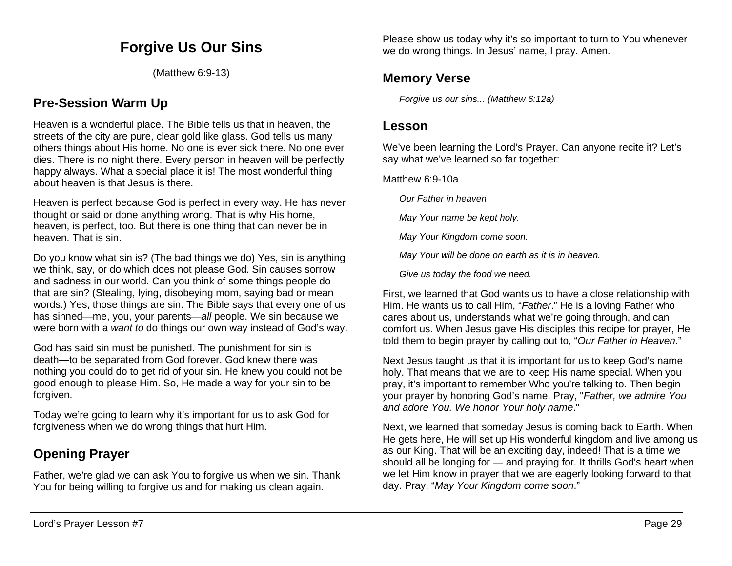# **Forgive Us Our Sins**

(Matthew 6:9-13)

## **Pre-Session Warm Up**

Heaven is a wonderful place. The Bible tells us that in heaven, the streets of the city are pure, clear gold like glass. God tells us many others things about His home. No one is ever sick there. No one ever dies. There is no night there. Every person in heaven will be perfectly happy always. What a special place it is! The most wonderful thing about heaven is that Jesus is there.

Heaven is perfect because God is perfect in every way. He has never thought or said or done anything wrong. That is why His home, heaven, is perfect, too. But there is one thing that can never be in heaven. That is sin.

Do you know what sin is? (The bad things we do) Yes, sin is anything we think, say, or do which does not please God. Sin causes sorrow and sadness in our world. Can you think of some things people do that are sin? (Stealing, lying, disobeying mom, saying bad or mean words.) Yes, those things are sin. The Bible says that every one of us has sinned—me, you, your parents—*all* people. We sin because we were born with a *want to* do things our own way instead of God's way.

God has said sin must be punished. The punishment for sin is death—to be separated from God forever. God knew there was nothing you could do to get rid of your sin. He knew you could not be good enough to please Him. So, He made a way for your sin to be forgiven.

Today we're going to learn why it's important for us to ask God for forgiveness when we do wrong things that hurt Him.

# **Opening Prayer**

Father, we're glad we can ask You to forgive us when we sin. Thank You for being willing to forgive us and for making us clean again.

Please show us today why it's so important to turn to You whenever we do wrong things. In Jesus' name, I pray. Amen.

## **Memory Verse**

*Forgive us our sins... (Matthew 6:12a)*

## **Lesson**

We've been learning the Lord's Prayer. Can anyone recite it? Let's say what we've learned so far together:

Matthew 6:9-10a

*Our Father in heaven*

*May Your name be kept holy.*

*May Your Kingdom come soon.*

*May Your will be done on earth as it is in heaven.*

*Give us today the food we need.*

First, we learned that God wants us to have a close relationship with Him. He wants us to call Him, "*Father*." He is a loving Father who cares about us, understands what we're going through, and can comfort us. When Jesus gave His disciples this recipe for prayer, He told them to begin prayer by calling out to, "*Our Father in Heaven*."

Next Jesus taught us that it is important for us to keep God's name holy. That means that we are to keep His name special. When you pray, it's important to remember Who you're talking to. Then begin your prayer by honoring God's name. Pray, "*Father, we admire You and adore You. We honor Your holy name*."

Next, we learned that someday Jesus is coming back to Earth. When He gets here, He will set up His wonderful kingdom and live among us as our King. That will be an exciting day, indeed! That is a time we should all be longing for — and praying for. It thrills God's heart when we let Him know in prayer that we are eagerly looking forward to that day. Pray, "*May Your Kingdom come soon*."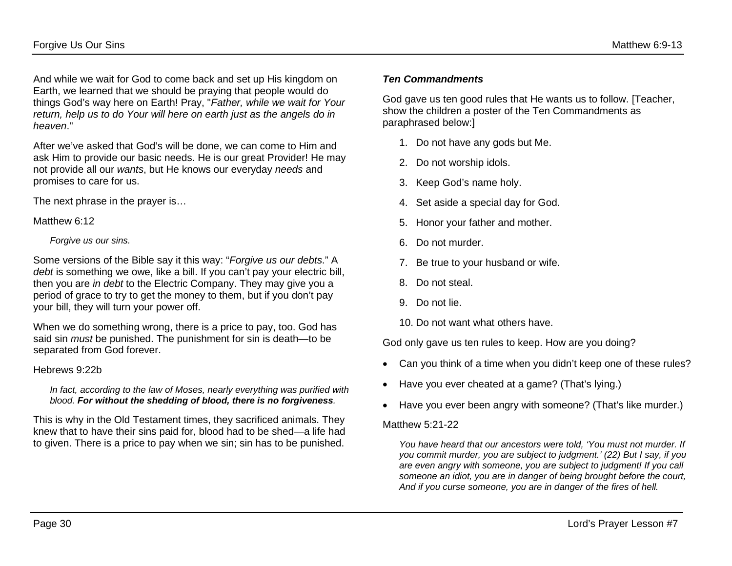And while we wait for God to come back and set up His kingdom on Earth, we learned that we should be praying that people would do things God's way here on Earth! Pray, "*Father, while we wait for Your return, help us to do Your will here on earth just as the angels do in heaven*."

After we've asked that God's will be done, we can come to Him and ask Him to provide our basic needs. He is our great Provider! He may not provide all our *wants*, but He knows our everyday *needs* and promises to care for us.

The next phrase in the prayer is…

Matthew 6:12

#### *Forgive us our sins.*

Some versions of the Bible say it this way: "*Forgive us our debts*." A *debt* is something we owe, like a bill. If you can't pay your electric bill, then you are *in debt* to the Electric Company. They may give you a period of grace to try to get the money to them, but if you don't pay your bill, they will turn your power off.

When we do something wrong, there is a price to pay, too. God has said sin *must* be punished. The punishment for sin is death—to be separated from God forever.

### Hebrews 9:22b

#### *In fact, according to the law of Moses, nearly everything was purified with blood. For without the shedding of blood, there is no forgiveness.*

This is why in the Old Testament times, they sacrificed animals. They knew that to have their sins paid for, blood had to be shed—a life had to given. There is a price to pay when we sin; sin has to be punished.

### *Ten Commandments*

God gave us ten good rules that He wants us to follow. [Teacher, show the children a poster of the Ten Commandments as paraphrased below:]

- 1. Do not have any gods but Me.
- 2. Do not worship idols.
- 3. Keep God's name holy.
- 4. Set aside a special day for God.
- 5. Honor your father and mother.
- 6. Do not murder.
- 7. Be true to your husband or wife.
- 8. Do not steal.
- 9. Do not lie.

10. Do not want what others have.

God only gave us ten rules to keep. How are you doing?

- Can you think of a time when you didn't keep one of these rules?
- Have you ever cheated at a game? (That's lying.)
- Have you ever been angry with someone? (That's like murder.)

#### Matthew 5:21-22

*You have heard that our ancestors were told, 'You must not murder. If you commit murder, you are subject to judgment.' (22) But I say, if you are even angry with someone, you are subject to judgment! If you call someone an idiot, you are in danger of being brought before the court, And if you curse someone, you are in danger of the fires of hell.*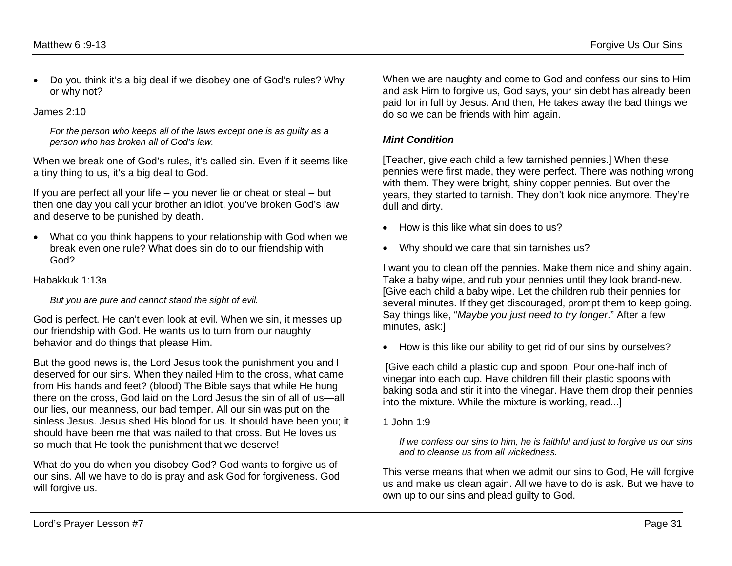• Do you think it's a big deal if we disobey one of God's rules? Why or why not?

#### James 2:10

*For the person who keeps all of the laws except one is as guilty as a person who has broken all of God's law.*

When we break one of God's rules, it's called sin. Even if it seems like a tiny thing to us, it's a big deal to God.

If you are perfect all your life – you never lie or cheat or steal – but then one day you call your brother an idiot, you've broken God's law and deserve to be punished by death.

• What do you think happens to your relationship with God when we break even one rule? What does sin do to our friendship with God?

#### Habakkuk 1:13a

*But you are pure and cannot stand the sight of evil.*

God is perfect. He can't even look at evil. When we sin, it messes up our friendship with God. He wants us to turn from our naughty behavior and do things that please Him.

But the good news is, the Lord Jesus took the punishment you and I deserved for our sins. When they nailed Him to the cross, what came from His hands and feet? (blood) The Bible says that while He hung there on the cross, God laid on the Lord Jesus the sin of all of us—all our lies, our meanness, our bad temper. All our sin was put on the sinless Jesus. Jesus shed His blood for us. It should have been you; it should have been me that was nailed to that cross. But He loves us so much that He took the punishment that we deserve!

What do you do when you disobey God? God wants to forgive us of our sins. All we have to do is pray and ask God for forgiveness. God will forgive us.

When we are naughty and come to God and confess our sins to Him and ask Him to forgive us, God says, your sin debt has already been paid for in full by Jesus. And then, He takes away the bad things we do so we can be friends with him again.

### *Mint Condition*

[Teacher, give each child a few tarnished pennies.] When these pennies were first made, they were perfect. There was nothing wrong with them. They were bright, shiny copper pennies. But over the years, they started to tarnish. They don't look nice anymore. They're dull and dirty.

- How is this like what sin does to us?
- Why should we care that sin tarnishes us?

I want you to clean off the pennies. Make them nice and shiny again. Take a baby wipe, and rub your pennies until they look brand-new. [Give each child a baby wipe. Let the children rub their pennies for several minutes. If they get discouraged, prompt them to keep going. Say things like, "*Maybe you just need to try longer*." After a few minutes, ask:]

• How is this like our ability to get rid of our sins by ourselves?

[Give each child a plastic cup and spoon. Pour one-half inch of vinegar into each cup. Have children fill their plastic spoons with baking soda and stir it into the vinegar. Have them drop their pennies into the mixture. While the mixture is working, read...]

1 John 1:9

*If we confess our sins to him, he is faithful and just to forgive us our sins and to cleanse us from all wickedness.*

This verse means that when we admit our sins to God, He will forgive us and make us clean again. All we have to do is ask. But we have to own up to our sins and plead guilty to God.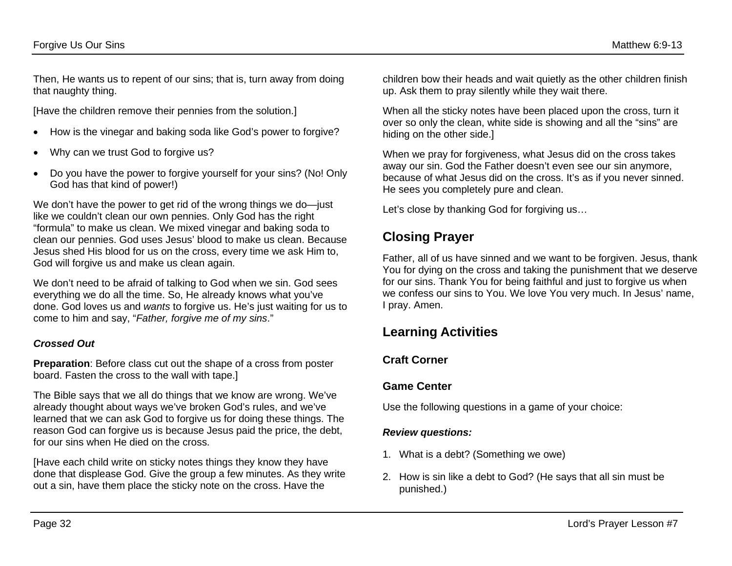Then, He wants us to repent of our sins; that is, turn away from doing that naughty thing.

[Have the children remove their pennies from the solution.]

- How is the vinegar and baking soda like God's power to forgive?
- Why can we trust God to forgive us?
- Do you have the power to forgive yourself for your sins? (No! Only God has that kind of power!)

We don't have the power to get rid of the wrong things we do—just like we couldn't clean our own pennies. Only God has the right "formula" to make us clean. We mixed vinegar and baking soda to clean our pennies. God uses Jesus' blood to make us clean. Because Jesus shed His blood for us on the cross, every time we ask Him to, God will forgive us and make us clean again.

We don't need to be afraid of talking to God when we sin. God sees everything we do all the time. So, He already knows what you've done. God loves us and *wants* to forgive us. He's just waiting for us to come to him and say, "*Father, forgive me of my sins*."

### *Crossed Out*

**Preparation**: Before class cut out the shape of a cross from poster board. Fasten the cross to the wall with tape.]

The Bible says that we all do things that we know are wrong. We've already thought about ways we've broken God's rules, and we've learned that we can ask God to forgive us for doing these things. The reason God can forgive us is because Jesus paid the price, the debt, for our sins when He died on the cross.

[Have each child write on sticky notes things they know they have done that displease God. Give the group a few minutes. As they write out a sin, have them place the sticky note on the cross. Have the

children bow their heads and wait quietly as the other children finish up. Ask them to pray silently while they wait there.

When all the sticky notes have been placed upon the cross, turn it over so only the clean, white side is showing and all the "sins" are hiding on the other side.]

When we pray for forgiveness, what Jesus did on the cross takes away our sin. God the Father doesn't even see our sin anymore, because of what Jesus did on the cross. It's as if you never sinned. He sees you completely pure and clean.

Let's close by thanking God for forgiving us…

# **Closing Prayer**

Father, all of us have sinned and we want to be forgiven. Jesus, thank You for dying on the cross and taking the punishment that we deserve for our sins. Thank You for being faithful and just to forgive us when we confess our sins to You. We love You very much. In Jesus' name, I pray. Amen.

# **Learning Activities**

## **Craft Corner**

## **Game Center**

Use the following questions in a game of your choice:

### *Review questions:*

- 1. What is a debt? (Something we owe)
- 2. How is sin like a debt to God? (He says that all sin must be punished.)